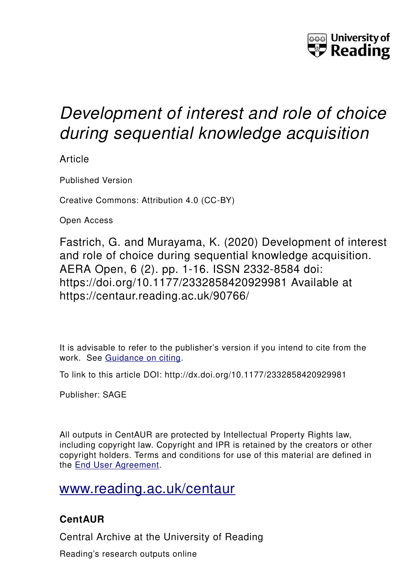

# *Development of interest and role of choice during sequential knowledge acquisition*

Article

Published Version

Creative Commons: Attribution 4.0 (CC-BY)

Open Access

Fastrich, G. and Murayama, K. (2020) Development of interest and role of choice during sequential knowledge acquisition. AERA Open, 6 (2). pp. 1-16. ISSN 2332-8584 doi: https://doi.org/10.1177/2332858420929981 Available at https://centaur.reading.ac.uk/90766/

It is advisable to refer to the publisher's version if you intend to cite from the work. See [Guidance on citing.](http://centaur.reading.ac.uk/71187/10/CentAUR%20citing%20guide.pdf)

To link to this article DOI: http://dx.doi.org/10.1177/2332858420929981

Publisher: SAGE

All outputs in CentAUR are protected by Intellectual Property Rights law, including copyright law. Copyright and IPR is retained by the creators or other copyright holders. Terms and conditions for use of this material are defined in the [End User Agreement.](http://centaur.reading.ac.uk/licence)

# [www.reading.ac.uk/centaur](http://www.reading.ac.uk/centaur)

## **CentAUR**

Central Archive at the University of Reading

Reading's research outputs online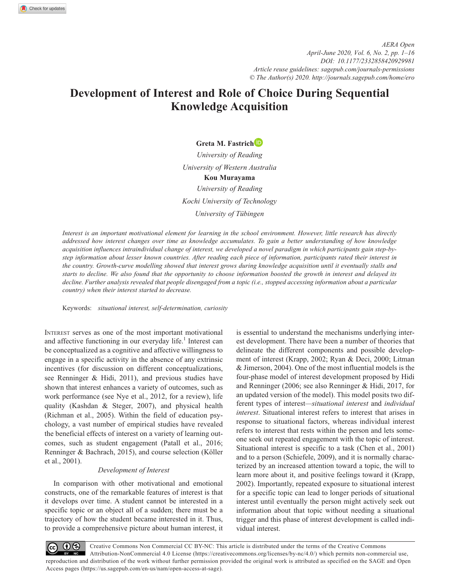### **Development of Interest and Role of Choice During Sequential Knowledge Acquisition**

#### **Greta M. Fastrich**

*University of Reading University of Western Australia* **Kou Murayama** *University of Reading Kochi University of Technology University of Tübingen*

*Interest is an important motivational element for learning in the school environment. However, little research has directly addressed how interest changes over time as knowledge accumulates. To gain a better understanding of how knowledge acquisition influences intraindividual change of interest, we developed a novel paradigm in which participants gain step-bystep information about lesser known countries. After reading each piece of information, participants rated their interest in the country. Growth-curve modelling showed that interest grows during knowledge acquisition until it eventually stalls and starts to decline. We also found that the opportunity to choose information boosted the growth in interest and delayed its decline. Further analysis revealed that people disengaged from a topic (i.e., stopped accessing information about a particular country) when their interest started to decrease.*

Keywords: *situational interest, self-determination, curiosity*

Interest serves as one of the most important motivational and affective functioning in our everyday life.<sup>1</sup> Interest can be conceptualized as a cognitive and affective willingness to engage in a specific activity in the absence of any extrinsic incentives (for discussion on different conceptualizations, see Renninger & Hidi, 2011), and previous studies have shown that interest enhances a variety of outcomes, such as work performance (see Nye et al., 2012, for a review), life quality (Kashdan & Steger, 2007), and physical health (Richman et al., 2005). Within the field of education psychology, a vast number of empirical studies have revealed the beneficial effects of interest on a variety of learning outcomes, such as student engagement (Patall et al., 2016; Renninger & Bachrach, 2015), and course selection (Köller et al., 2001).

#### *Development of Interest*

In comparison with other motivational and emotional constructs, one of the remarkable features of interest is that it develops over time. A student cannot be interested in a specific topic or an object all of a sudden; there must be a trajectory of how the student became interested in it. Thus, to provide a comprehensive picture about human interest, it is essential to understand the mechanisms underlying interest development. There have been a number of theories that delineate the different components and possible development of interest (Krapp, 2002; Ryan & Deci, 2000; Litman & Jimerson, 2004). One of the most influential models is the four-phase model of interest development proposed by Hidi and Renninger (2006; see also Renninger & Hidi, 2017, for an updated version of the model). This model posits two different types of interest*—situational interest* and *individual interest*. Situational interest refers to interest that arises in response to situational factors, whereas individual interest refers to interest that rests within the person and lets someone seek out repeated engagement with the topic of interest. Situational interest is specific to a task (Chen et al., 2001) and to a person (Schiefele, 2009), and it is normally characterized by an increased attention toward a topic, the will to learn more about it, and positive feelings toward it (Krapp, 2002). Importantly, repeated exposure to situational interest for a specific topic can lead to longer periods of situational interest until eventually the person might actively seek out information about that topic without needing a situational trigger and this phase of interest development is called individual interest.

Creative Commons Non Commercial CC BY-NC: This article is distributed under the terms of the Creative Commons  $\odot$ Attribution-NonCommercial 4.0 License (https://creativecommons.org/licenses/by-nc/4.0/) which permits non-commercial use, reproduction and distribution of the work without further permission provided the original work is attributed as specified on the SAGE and Open Access pages (https://us.sagepub.com/en-us/nam/open-access-at-sage).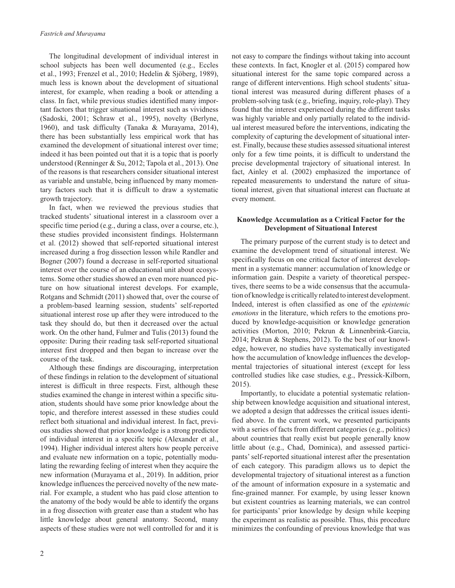The longitudinal development of individual interest in school subjects has been well documented (e.g., Eccles et al., 1993; Frenzel et al., 2010; Hedelin & Sjöberg, 1989), much less is known about the development of situational interest, for example, when reading a book or attending a class. In fact, while previous studies identified many important factors that trigger situational interest such as vividness (Sadoski, 2001; Schraw et al., 1995), novelty (Berlyne, 1960), and task difficulty (Tanaka & Murayama, 2014), there has been substantially less empirical work that has examined the development of situational interest over time; indeed it has been pointed out that it is a topic that is poorly understood (Renninger & Su, 2012; Tapola et al., 2013). One of the reasons is that researchers consider situational interest as variable and unstable, being influenced by many momentary factors such that it is difficult to draw a systematic growth trajectory.

In fact, when we reviewed the previous studies that tracked students' situational interest in a classroom over a specific time period (e.g., during a class, over a course, etc.), these studies provided inconsistent findings. Holstermann et al. (2012) showed that self-reported situational interest increased during a frog dissection lesson while Randler and Bogner (2007) found a decrease in self-reported situational interest over the course of an educational unit about ecosystems. Some other studies showed an even more nuanced picture on how situational interest develops. For example, Rotgans and Schmidt (2011) showed that, over the course of a problem-based learning session, students' self-reported situational interest rose up after they were introduced to the task they should do, but then it decreased over the actual work. On the other hand, Fulmer and Tulis (2013) found the opposite: During their reading task self-reported situational interest first dropped and then began to increase over the course of the task.

Although these findings are discouraging, interpretation of these findings in relation to the development of situational interest is difficult in three respects. First, although these studies examined the change in interest within a specific situation, students should have some prior knowledge about the topic, and therefore interest assessed in these studies could reflect both situational and individual interest. In fact, previous studies showed that prior knowledge is a strong predictor of individual interest in a specific topic (Alexander et al., 1994). Higher individual interest alters how people perceive and evaluate new information on a topic, potentially modulating the rewarding feeling of interest when they acquire the new information (Murayama et al., 2019). In addition, prior knowledge influences the perceived novelty of the new material. For example, a student who has paid close attention to the anatomy of the body would be able to identify the organs in a frog dissection with greater ease than a student who has little knowledge about general anatomy. Second, many aspects of these studies were not well controlled for and it is not easy to compare the findings without taking into account these contexts. In fact, Knogler et al. (2015) compared how situational interest for the same topic compared across a range of different interventions. High school students' situational interest was measured during different phases of a problem-solving task (e.g., briefing, inquiry, role-play). They found that the interest experienced during the different tasks was highly variable and only partially related to the individual interest measured before the interventions, indicating the complexity of capturing the development of situational interest. Finally, because these studies assessed situational interest only for a few time points, it is difficult to understand the precise developmental trajectory of situational interest. In fact, Ainley et al. (2002) emphasized the importance of repeated measurements to understand the nature of situational interest, given that situational interest can fluctuate at every moment.

#### **Knowledge Accumulation as a Critical Factor for the Development of Situational Interest**

The primary purpose of the current study is to detect and examine the development trend of situational interest. We specifically focus on one critical factor of interest development in a systematic manner: accumulation of knowledge or information gain. Despite a variety of theoretical perspectives, there seems to be a wide consensus that the accumulation of knowledge is critically related to interest development. Indeed, interest is often classified as one of the *epistemic emotions* in the literature, which refers to the emotions produced by knowledge-acquisition or knowledge generation activities (Morton, 2010; Pekrun & Linnenbrink-Garcia, 2014; Pekrun & Stephens, 2012). To the best of our knowledge, however, no studies have systematically investigated how the accumulation of knowledge influences the developmental trajectories of situational interest (except for less controlled studies like case studies, e.g., Pressick-Kilborn, 2015).

Importantly, to elucidate a potential systematic relationship between knowledge acquisition and situational interest, we adopted a design that addresses the critical issues identified above. In the current work, we presented participants with a series of facts from different categories (e.g., politics) about countries that really exist but people generally know little about (e.g., Chad, Dominica), and assessed participants' self-reported situational interest after the presentation of each category. This paradigm allows us to depict the developmental trajectory of situational interest as a function of the amount of information exposure in a systematic and fine-grained manner. For example, by using lesser known but existent countries as learning materials, we can control for participants' prior knowledge by design while keeping the experiment as realistic as possible. Thus, this procedure minimizes the confounding of previous knowledge that was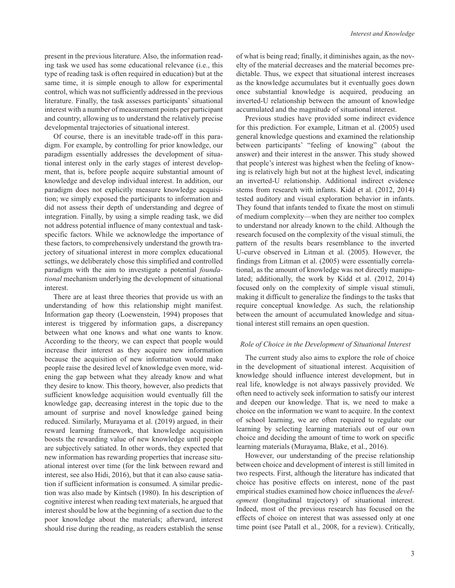present in the previous literature. Also, the information reading task we used has some educational relevance (i.e., this type of reading task is often required in education) but at the same time, it is simple enough to allow for experimental control, which was not sufficiently addressed in the previous literature. Finally, the task assesses participants' situational interest with a number of measurement points per participant and country, allowing us to understand the relatively precise developmental trajectories of situational interest.

Of course, there is an inevitable trade-off in this paradigm. For example, by controlling for prior knowledge, our paradigm essentially addresses the development of situational interest only in the early stages of interest development, that is, before people acquire substantial amount of knowledge and develop individual interest. In addition, our paradigm does not explicitly measure knowledge acquisition; we simply exposed the participants to information and did not assess their depth of understanding and degree of integration. Finally, by using a simple reading task, we did not address potential influence of many contextual and taskspecific factors. While we acknowledge the importance of these factors, to comprehensively understand the growth trajectory of situational interest in more complex educational settings, we deliberately chose this simplified and controlled paradigm with the aim to investigate a potential *foundational* mechanism underlying the development of situational interest.

There are at least three theories that provide us with an understanding of how this relationship might manifest. Information gap theory (Loewenstein, 1994) proposes that interest is triggered by information gaps, a discrepancy between what one knows and what one wants to know. According to the theory, we can expect that people would increase their interest as they acquire new information because the acquisition of new information would make people raise the desired level of knowledge even more, widening the gap between what they already know and what they desire to know. This theory, however, also predicts that sufficient knowledge acquisition would eventually fill the knowledge gap, decreasing interest in the topic due to the amount of surprise and novel knowledge gained being reduced. Similarly, Murayama et al. (2019) argued, in their reward learning framework, that knowledge acquisition boosts the rewarding value of new knowledge until people are subjectively satiated. In other words, they expected that new information has rewarding properties that increase situational interest over time (for the link between reward and interest, see also Hidi, 2016), but that it can also cause satiation if sufficient information is consumed. A similar prediction was also made by Kintsch (1980). In his description of cognitive interest when reading text materials, he argued that interest should be low at the beginning of a section due to the poor knowledge about the materials; afterward, interest should rise during the reading, as readers establish the sense

of what is being read; finally, it diminishes again, as the novelty of the material decreases and the material becomes predictable. Thus, we expect that situational interest increases as the knowledge accumulates but it eventually goes down once substantial knowledge is acquired, producing an inverted-U relationship between the amount of knowledge accumulated and the magnitude of situational interest.

Previous studies have provided some indirect evidence for this prediction. For example, Litman et al. (2005) used general knowledge questions and examined the relationship between participants' "feeling of knowing" (about the answer) and their interest in the answer. This study showed that people's interest was highest when the feeling of knowing is relatively high but not at the highest level, indicating an inverted-U relationship. Additional indirect evidence stems from research with infants. Kidd et al. (2012, 2014) tested auditory and visual exploration behavior in infants. They found that infants tended to fixate the most on stimuli of medium complexity—when they are neither too complex to understand nor already known to the child. Although the research focused on the complexity of the visual stimuli, the pattern of the results bears resemblance to the inverted U-curve observed in Litman et al. (2005). However, the findings from Litman et al. (2005) were essentially correlational, as the amount of knowledge was not directly manipulated; additionally, the work by Kidd et al. (2012, 2014) focused only on the complexity of simple visual stimuli, making it difficult to generalize the findings to the tasks that require conceptual knowledge. As such, the relationship between the amount of accumulated knowledge and situational interest still remains an open question.

#### *Role of Choice in the Development of Situational Interest*

The current study also aims to explore the role of choice in the development of situational interest. Acquisition of knowledge should influence interest development, but in real life, knowledge is not always passively provided. We often need to actively seek information to satisfy our interest and deepen our knowledge. That is, we need to make a choice on the information we want to acquire. In the context of school learning, we are often required to regulate our learning by selecting learning materials out of our own choice and deciding the amount of time to work on specific learning materials (Murayama, Blake, et al., 2016).

However, our understanding of the precise relationship between choice and development of interest is still limited in two respects. First, although the literature has indicated that choice has positive effects on interest, none of the past empirical studies examined how choice influences the *development* (longitudinal trajectory) of situational interest. Indeed, most of the previous research has focused on the effects of choice on interest that was assessed only at one time point (see Patall et al., 2008, for a review). Critically,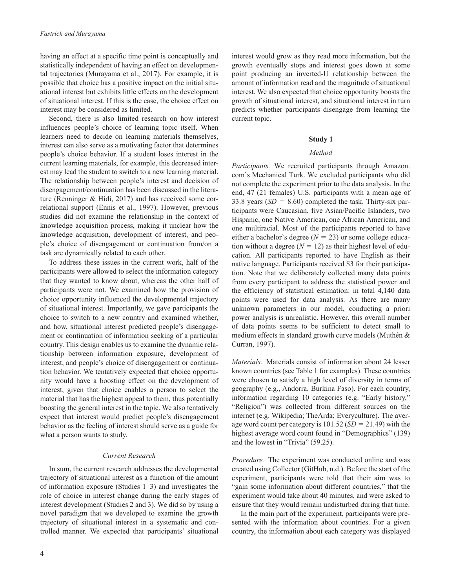having an effect at a specific time point is conceptually and statistically independent of having an effect on developmental trajectories (Murayama et al., 2017). For example, it is possible that choice has a positive impact on the initial situational interest but exhibits little effects on the development of situational interest. If this is the case, the choice effect on interest may be considered as limited.

Second, there is also limited research on how interest influences people's choice of learning topic itself. When learners need to decide on learning materials themselves, interest can also serve as a motivating factor that determines people's choice behavior. If a student loses interest in the current learning materials, for example, this decreased interest may lead the student to switch to a new learning material. The relationship between people's interest and decision of disengagement/continuation has been discussed in the literature (Renninger & Hidi, 2017) and has received some correlational support (Ennis et al., 1997). However, previous studies did not examine the relationship in the context of knowledge acquisition process, making it unclear how the knowledge acquisition, development of interest, and people's choice of disengagement or continuation from/on a task are dynamically related to each other.

To address these issues in the current work, half of the participants were allowed to select the information category that they wanted to know about, whereas the other half of participants were not. We examined how the provision of choice opportunity influenced the developmental trajectory of situational interest. Importantly, we gave participants the choice to switch to a new country and examined whether, and how, situational interest predicted people's disengagement or continuation of information seeking of a particular country. This design enables us to examine the dynamic relationship between information exposure, development of interest, and people's choice of disengagement or continuation behavior. We tentatively expected that choice opportunity would have a boosting effect on the development of interest, given that choice enables a person to select the material that has the highest appeal to them, thus potentially boosting the general interest in the topic. We also tentatively expect that interest would predict people's disengagement behavior as the feeling of interest should serve as a guide for what a person wants to study.

#### *Current Research*

In sum, the current research addresses the developmental trajectory of situational interest as a function of the amount of information exposure (Studies 1–3) and investigates the role of choice in interest change during the early stages of interest development (Studies 2 and 3). We did so by using a novel paradigm that we developed to examine the growth trajectory of situational interest in a systematic and controlled manner. We expected that participants' situational

interest would grow as they read more information, but the growth eventually stops and interest goes down at some point producing an inverted-U relationship between the amount of information read and the magnitude of situational interest. We also expected that choice opportunity boosts the growth of situational interest, and situational interest in turn predicts whether participants disengage from learning the current topic.

#### **Study 1**

#### *Method*

*Participants.* We recruited participants through Amazon. com's Mechanical Turk. We excluded participants who did not complete the experiment prior to the data analysis. In the end, 47 (21 females) U.S. participants with a mean age of 33.8 years  $(SD = 8.60)$  completed the task. Thirty-six participants were Caucasian, five Asian/Pacific Islanders, two Hispanic, one Native American, one African American, and one multiracial. Most of the participants reported to have either a bachelor's degree  $(N = 23)$  or some college education without a degree  $(N = 12)$  as their highest level of education. All participants reported to have English as their native language. Participants received \$3 for their participation. Note that we deliberately collected many data points from every participant to address the statistical power and the efficiency of statistical estimation: in total 4,140 data points were used for data analysis. As there are many unknown parameters in our model, conducting a priori power analysis is unrealistic. However, this overall number of data points seems to be sufficient to detect small to medium effects in standard growth curve models (Muthén & Curran, 1997).

*Materials.* Materials consist of information about 24 lesser known countries (see Table 1 for examples). These countries were chosen to satisfy a high level of diversity in terms of geography (e.g., Andorra, Burkina Faso). For each country, information regarding 10 categories (e.g. "Early history," "Religion") was collected from different sources on the internet (e.g. Wikipedia; TheArda; Everyculture). The average word count per category is 101.52 (*SD* = 21.49) with the highest average word count found in "Demographics" (139) and the lowest in "Trivia" (59.25).

*Procedure.* The experiment was conducted online and was created using Collector (GitHub, n.d.). Before the start of the experiment, participants were told that their aim was to "gain some information about different countries," that the experiment would take about 40 minutes, and were asked to ensure that they would remain undisturbed during that time.

In the main part of the experiment, participants were presented with the information about countries. For a given country, the information about each category was displayed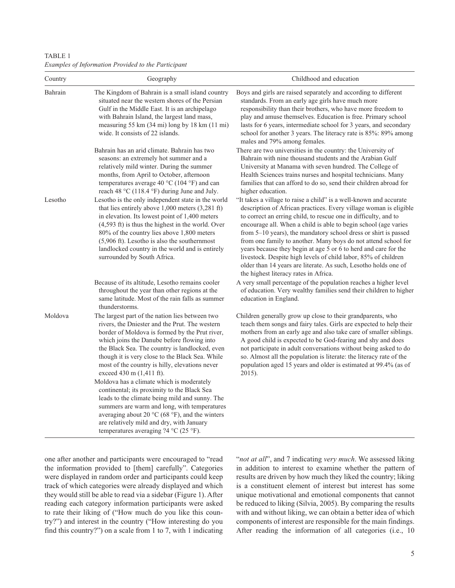TABLE 1 *Examples of Information Provided to the Participant*

| Country | Geography                                                                                                                                                                                                                                                                                                                                                                                                   | Childhood and education                                                                                                                                                                                                                                                                                                                                                                                                                                                                                                                                                                                                                                             |
|---------|-------------------------------------------------------------------------------------------------------------------------------------------------------------------------------------------------------------------------------------------------------------------------------------------------------------------------------------------------------------------------------------------------------------|---------------------------------------------------------------------------------------------------------------------------------------------------------------------------------------------------------------------------------------------------------------------------------------------------------------------------------------------------------------------------------------------------------------------------------------------------------------------------------------------------------------------------------------------------------------------------------------------------------------------------------------------------------------------|
| Bahrain | The Kingdom of Bahrain is a small island country<br>situated near the western shores of the Persian<br>Gulf in the Middle East. It is an archipelago<br>with Bahrain Island, the largest land mass,<br>measuring 55 km (34 mi) long by 18 km (11 mi)<br>wide. It consists of 22 islands.                                                                                                                    | Boys and girls are raised separately and according to different<br>standards. From an early age girls have much more<br>responsibility than their brothers, who have more freedom to<br>play and amuse themselves. Education is free. Primary school<br>lasts for 6 years, intermediate school for 3 years, and secondary<br>school for another 3 years. The literacy rate is 85%: 89% among<br>males and 79% among females.                                                                                                                                                                                                                                        |
|         | Bahrain has an arid climate. Bahrain has two<br>seasons: an extremely hot summer and a<br>relatively mild winter. During the summer<br>months, from April to October, afternoon<br>temperatures average 40 °C (104 °F) and can<br>reach 48 °C (118.4 °F) during June and July.                                                                                                                              | There are two universities in the country: the University of<br>Bahrain with nine thousand students and the Arabian Gulf<br>University at Manama with seven hundred. The College of<br>Health Sciences trains nurses and hospital technicians. Many<br>families that can afford to do so, send their children abroad for<br>higher education.                                                                                                                                                                                                                                                                                                                       |
| Lesotho | Lesotho is the only independent state in the world<br>that lies entirely above $1,000$ meters $(3,281$ ft)<br>in elevation. Its lowest point of 1,400 meters<br>$(4,593 \text{ ft})$ is thus the highest in the world. Over<br>80% of the country lies above 1,800 meters<br>(5,906 ft). Lesotho is also the southernmost<br>landlocked country in the world and is entirely<br>surrounded by South Africa. | "It takes a village to raise a child" is a well-known and accurate<br>description of African practices. Every village woman is eligible<br>to correct an erring child, to rescue one in difficulty, and to<br>encourage all. When a child is able to begin school (age varies<br>from 5-10 years), the mandatory school dress or shirt is passed<br>from one family to another. Many boys do not attend school for<br>years because they begin at age 5 or 6 to herd and care for the<br>livestock. Despite high levels of child labor, 85% of children<br>older than 14 years are literate. As such, Lesotho holds one of<br>the highest literacy rates in Africa. |
|         | Because of its altitude, Lesotho remains cooler<br>throughout the year than other regions at the<br>same latitude. Most of the rain falls as summer<br>thunderstorms.                                                                                                                                                                                                                                       | A very small percentage of the population reaches a higher level<br>of education. Very wealthy families send their children to higher<br>education in England.                                                                                                                                                                                                                                                                                                                                                                                                                                                                                                      |
| Moldova | The largest part of the nation lies between two<br>rivers, the Dniester and the Prut. The western<br>border of Moldova is formed by the Prut river,<br>which joins the Danube before flowing into<br>the Black Sea. The country is landlocked, even<br>though it is very close to the Black Sea. While<br>most of the country is hilly, elevations never<br>exceed 430 m (1,411 ft).                        | Children generally grow up close to their grandparents, who<br>teach them songs and fairy tales. Girls are expected to help their<br>mothers from an early age and also take care of smaller siblings.<br>A good child is expected to be God-fearing and shy and does<br>not participate in adult conversations without being asked to do<br>so. Almost all the population is literate: the literacy rate of the<br>population aged 15 years and older is estimated at 99.4% (as of<br>2015).                                                                                                                                                                       |
|         | Moldova has a climate which is moderately<br>continental; its proximity to the Black Sea<br>leads to the climate being mild and sunny. The<br>summers are warm and long, with temperatures<br>averaging about 20 °C (68 °F), and the winters<br>are relatively mild and dry, with January<br>temperatures averaging $?4 °C$ (25 °F).                                                                        |                                                                                                                                                                                                                                                                                                                                                                                                                                                                                                                                                                                                                                                                     |

one after another and participants were encouraged to "read the information provided to [them] carefully". Categories were displayed in random order and participants could keep track of which categories were already displayed and which they would still be able to read via a sidebar (Figure 1). After reading each category information participants were asked to rate their liking of ("How much do you like this country?") and interest in the country ("How interesting do you find this country?") on a scale from 1 to 7, with 1 indicating "*not at all*", and 7 indicating *very much*. We assessed liking in addition to interest to examine whether the pattern of results are driven by how much they liked the country; liking is a constituent element of interest but interest has some unique motivational and emotional components that cannot be reduced to liking (Silvia, 2005). By comparing the results with and without liking, we can obtain a better idea of which components of interest are responsible for the main findings. After reading the information of all categories (i.e., 10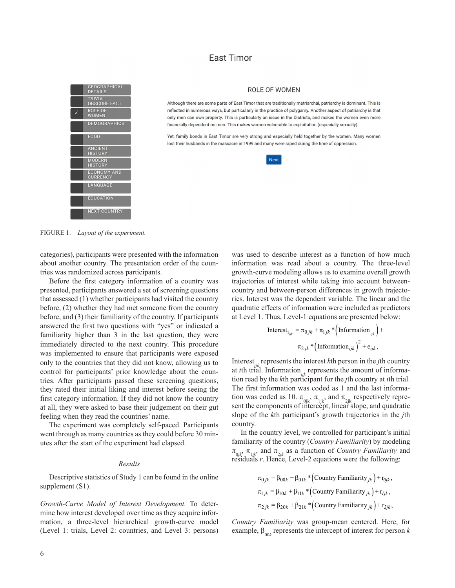#### **East Timor**



#### ROLE OF WOMEN

Although there are some parts of East Timor that are traditionally matriarchal, patriarchy is dominant. This is reflected in numerous ways, but particularly in the practice of polygamy. Another aspect of patriarchy is that only men can own property. This is particularly an issue in the Districts, and makes the women even more financially dependent on men. This makes women vulnerable to exploitation (especially sexually)

Yet, family bonds in East Timor are very strong and especially held together by the women. Many women lost their husbands in the massacre in 1999 and many were raped during the time of oppression.



FIGURE 1. *Layout of the experiment.* 

categories), participants were presented with the information about another country. The presentation order of the countries was randomized across participants.

Before the first category information of a country was presented, participants answered a set of screening questions that assessed (1) whether participants had visited the country before, (2) whether they had met someone from the country before, and (3) their familiarity of the country. If participants answered the first two questions with "yes" or indicated a familiarity higher than 3 in the last question, they were immediately directed to the next country. This procedure was implemented to ensure that participants were exposed only to the countries that they did not know, allowing us to control for participants' prior knowledge about the countries. After participants passed these screening questions, they rated their initial liking and interest before seeing the first category information. If they did not know the country at all, they were asked to base their judgement on their gut feeling when they read the countries' name.

The experiment was completely self-paced. Participants went through as many countries as they could before 30 minutes after the start of the experiment had elapsed.

#### *Results*

Descriptive statistics of Study 1 can be found in the online supplement (S1).

*Growth-Curve Model of Interest Development.* To determine how interest developed over time as they acquire information, a three-level hierarchical growth-curve model (Level 1: trials, Level 2: countries, and Level 3: persons) was used to describe interest as a function of how much information was read about a country. The three-level growth-curve modeling allows us to examine overall growth trajectories of interest while taking into account betweencountry and between-person differences in growth trajectories. Interest was the dependent variable. The linear and the quadratic effects of information were included as predictors at Level 1. Thus, Level-1 equations are presented below:

$$
\text{Interest}_{i_{ijk}} = \pi_{0jk} + \pi_{1jk} * \left( \text{Information}_{ijk} \right) +
$$
\n
$$
\pi_{2jk} * \left( \text{Information}_{ijk} \right)^2 + e_{ijk},
$$

Interest<sub>ik</sub> represents the interest  $k$ th person in the *j*th country at *i*th trial. Information<sub>ik</sub> represents the amount of information read by the *k*th participant for the *j*th country at *i*th trial. The first information was coded as 1 and the last information was coded as 10.  $\pi_{0ik}$ ,  $\pi_{1ik}$ , and  $\pi_{2ik}$  respectively represent the components of intercept, linear slope, and quadratic slope of the *k*th participant's growth trajectories in the *j*th country.

In the country level, we controlled for participant's initial familiarity of the country (*Country Familiarity*) by modeling  $\pi_{0jk}$ ,  $\pi_{1jk}$  and  $\pi_{2jk}$  as a function of *Country Familiarity* and residuals *r*. Hence, Level-2 equations were the following:

$$
\pi_{0jk} = \beta_{00k} + \beta_{01k} * (Country Familiarity_{jk}) + r_{0jk},
$$
  
\n
$$
\pi_{1jk} = \beta_{10k} + \beta_{11k} * (Country Familiarity_{jk}) + r_{ijk},
$$
  
\n
$$
\pi_{2jk} = \beta_{20k} + \beta_{21k} * (Country Familiarity_{jk}) + r_{2jk},
$$

*Country Familiarity* was group-mean centered. Here, for example,  $\beta_{00k}$  represents the intercept of interest for person *k*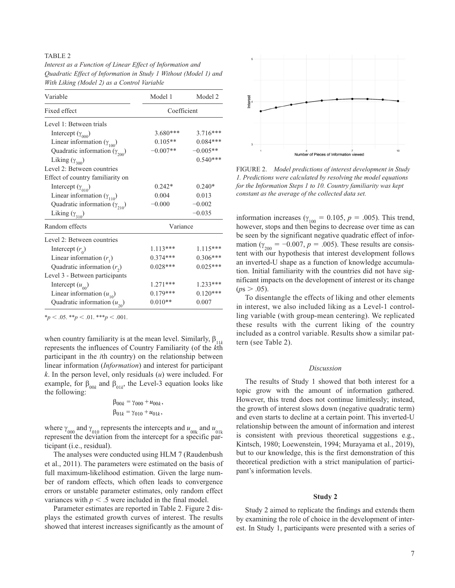#### TABLE<sub>2</sub>

*Interest as a Function of Linear Effect of Information and Quadratic Effect of Information in Study 1 Without (Model 1) and With Liking (Model 2) as a Control Variable*

| Variable                               | Model 1     | Model 2    |  |
|----------------------------------------|-------------|------------|--|
| Fixed effect                           | Coefficient |            |  |
| Level 1: Between trials                |             |            |  |
| Intercept $(\gamma_{000})$             | 3.680***    | 3.716***   |  |
| Linear information $(\gamma_{100})$    | $0.105**$   | $0.084***$ |  |
| Quadratic information $(\gamma_{200})$ | $-0.007**$  | $-0.005**$ |  |
| Liking $(\gamma_{300})$                |             | $0.540***$ |  |
| Level 2: Between countries             |             |            |  |
| Effect of country familiarity on       |             |            |  |
| Intercept $(\gamma_{010})$             | $0.242*$    | $0.240*$   |  |
| Linear information $(\gamma_{110})$    | 0.004       | 0.013      |  |
| Quadratic information $(\gamma_{210})$ | $-0.000$    | $-0.002$   |  |
| Liking $(\gamma_{310})$                |             | $-0.035$   |  |
| Random effects                         | Variance    |            |  |
| Level 2: Between countries             |             |            |  |
| Intercept $(r_0)$                      | $1.113***$  | $1.115***$ |  |
| Linear information $(r_1)$             | $0.374***$  | $0.306***$ |  |
| Quadratic information $(r_2)$          | $0.028***$  | $0.025***$ |  |
| Level 3 - Between participants         |             |            |  |
| Intercept $(u_{00})$                   | $1.271***$  | 1.233***   |  |
| Linear information $(u_{10})$          | $0.179***$  | $0.120***$ |  |
| Quadratic information $(u_{20})$       | $0.010**$   | 0.007      |  |

 $*_{p}$  < .05.  $*_{p}$  < .01.  $*_{p}$  < .001.

when country familiarity is at the mean level. Similarly, β<sub>1</sub>*k* represents the influences of Country Familiarity (of the *k*th participant in the *i*th country) on the relationship between linear information (*Information*) and interest for participant *k*. In the person level, only residuals (*u*) were included. For example, for  $\beta_{00k}$  and  $\beta_{01k}$ , the Level-3 equation looks like the following:

$$
\beta_{00k} = \gamma_{000} + u_{00k},
$$
  

$$
\beta_{01k} = \gamma_{010} + u_{01k},
$$

where  $\gamma_{000}$  and  $\gamma_{010}$  represents the intercepts and  $u_{00k}$  and  $u_{01k}$ represent the deviation from the intercept for a specific participant (i.e., residual).

The analyses were conducted using HLM 7 (Raudenbush et al., 2011). The parameters were estimated on the basis of full maximum-likelihood estimation. Given the large number of random effects, which often leads to convergence errors or unstable parameter estimates, only random effect variances with  $p < 0.5$  were included in the final model.

Parameter estimates are reported in Table 2. Figure 2 displays the estimated growth curves of interest. The results showed that interest increases significantly as the amount of



FIGURE 2. *Model predictions of interest development in Study 1. Predictions were calculated by resolving the model equations for the Information Steps 1 to 10. Country familiarity was kept constant as the average of the collected data set.*

information increases ( $\gamma_{100} = 0.105$ ,  $p = .005$ ). This trend, however, stops and then begins to decrease over time as can be seen by the significant negative quadratic effect of information ( $\gamma_{200} = -0.007$ ,  $p = .005$ ). These results are consistent with our hypothesis that interest development follows an inverted-U shape as a function of knowledge accumulation. Initial familiarity with the countries did not have significant impacts on the development of interest or its change  $(ps > .05)$ .

To disentangle the effects of liking and other elements in interest, we also included liking as a Level-1 controlling variable (with group-mean centering). We replicated these results with the current liking of the country included as a control variable. Results show a similar pattern (see Table 2).

#### *Discussion*

The results of Study 1 showed that both interest for a topic grow with the amount of information gathered. However, this trend does not continue limitlessly; instead, the growth of interest slows down (negative quadratic term) and even starts to decline at a certain point. This inverted-U relationship between the amount of information and interest is consistent with previous theoretical suggestions e.g., Kintsch, 1980; Loewenstein, 1994; Murayama et al., 2019), but to our knowledge, this is the first demonstration of this theoretical prediction with a strict manipulation of participant's information levels.

#### **Study 2**

Study 2 aimed to replicate the findings and extends them by examining the role of choice in the development of interest. In Study 1, participants were presented with a series of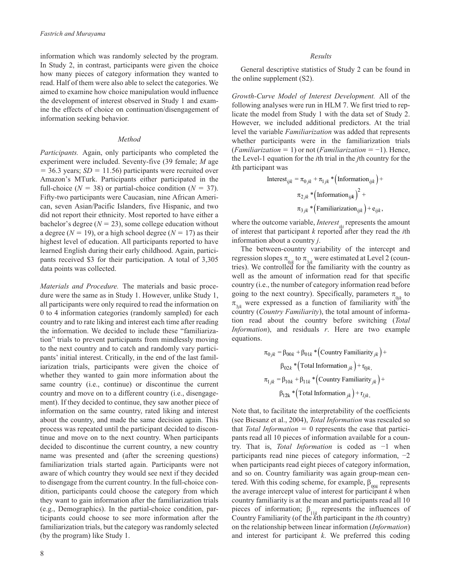information which was randomly selected by the program. In Study 2, in contrast, participants were given the choice how many pieces of category information they wanted to read. Half of them were also able to select the categories. We aimed to examine how choice manipulation would influence the development of interest observed in Study 1 and examine the effects of choice on continuation/disengagement of information seeking behavior.

#### *Method*

*Participants.* Again, only participants who completed the experiment were included. Seventy-five (39 female; *M* age  $= 36.3$  years; *SD*  $= 11.56$ ) participants were recruited over Amazon's MTurk. Participants either participated in the full-choice ( $N = 38$ ) or partial-choice condition ( $N = 37$ ). Fifty-two participants were Caucasian, nine African American, seven Asian/Pacific Islanders, five Hispanic, and two did not report their ethnicity. Most reported to have either a bachelor's degree  $(N = 23)$ , some college education without a degree ( $N = 19$ ), or a high school degree ( $N = 17$ ) as their highest level of education. All participants reported to have learned English during their early childhood. Again, participants received \$3 for their participation. A total of 3,305 data points was collected.

*Materials and Procedure.* The materials and basic procedure were the same as in Study 1. However, unlike Study 1, all participants were only required to read the information on 0 to 4 information categories (randomly sampled) for each country and to rate liking and interest each time after reading the information. We decided to include these "familiarization" trials to prevent participants from mindlessly moving to the next country and to catch and randomly vary participants' initial interest. Critically, in the end of the last familiarization trials, participants were given the choice of whether they wanted to gain more information about the same country (i.e., continue) or discontinue the current country and move on to a different country (i.e., disengagement). If they decided to continue, they saw another piece of information on the same country, rated liking and interest about the country, and made the same decision again. This process was repeated until the participant decided to discontinue and move on to the next country. When participants decided to discontinue the current country, a new country name was presented and (after the screening questions) familiarization trials started again. Participants were not aware of which country they would see next if they decided to disengage from the current country. In the full-choice condition, participants could choose the category from which they want to gain information after the familiarization trials (e.g., Demographics). In the partial-choice condition, participants could choose to see more information after the familiarization trials, but the category was randomly selected (by the program) like Study 1.

#### *Results*

General descriptive statistics of Study 2 can be found in the online supplement (S2).

*Growth-Curve Model of Interest Development.* All of the following analyses were run in HLM 7. We first tried to replicate the model from Study 1 with the data set of Study 2. However, we included additional predictors. At the trial level the variable *Familiarization* was added that represents whether participants were in the familiarization trials (*Familiarization* = 1) or not (*Familiarization* = −1). Hence, the Level-1 equation for the *i*th trial in the *j*th country for the *k*th participant was

Interest<sub>ijk</sub> = 
$$
\pi_{0jk} + \pi_{1jk} * (\text{Information}_{ijk}) +
$$
  
 $\pi_{2jk} * (\text{Information}_{ijk})^2 +$   
 $\pi_{3jk} * (\text{Familiarization}_{ijk}) + e_{ijk},$ 

where the outcome variable, *Interest*<sub>iki</sub> represents the amount of interest that participant *k* reported after they read the *i*th information about a country *j*.

The between-country variability of the intercept and regression slopes  $\pi_{0jk}$  to  $\pi_{3jk}$  were estimated at Level 2 (countries). We controlled for the familiarity with the country as well as the amount of information read for that specific country (i.e., the number of category information read before going to the next country). Specifically, parameters  $\pi_{0ik}$  to  $\pi_{3ik}$  were expressed as a function of familiarity with the country (*Country Familiarity*), the total amount of information read about the country before switching (*Total Information*), and residuals *r*. Here are two example equations.

$$
\pi_{0jk} = \beta_{00k} + \beta_{01k} * (Country Familiarity_{jk}) +
$$

$$
\beta_{02k} * (Total Information_{jk}) + r_{0jk},
$$

$$
\pi_{1jk} = \beta_{10k} + \beta_{11k} * (Country Familiarity_{jk}) +
$$

$$
\beta_{12k} * (Total Information_{jk}) + r_{Ijk},
$$

Note that, to facilitate the interpretability of the coefficients (see Biesanz et al., 2004), *Total Information* was rescaled so that *Total Information* = 0 represents the case that participants read all 10 pieces of information available for a country. That is, *Total Information* is coded as −1 when participants read nine pieces of category information, −2 when participants read eight pieces of category information, and so on. Country familiarity was again group-mean centered. With this coding scheme, for example,  $\beta_{00k}$  represents the average intercept value of interest for participant *k* when country familiarity is at the mean and participants read all 10 pieces of information;  $\beta_{11k}$  represents the influences of Country Familiarity (of the *k*th participant in the *i*th country) on the relationship between linear information (*Information*) and interest for participant *k*. We preferred this coding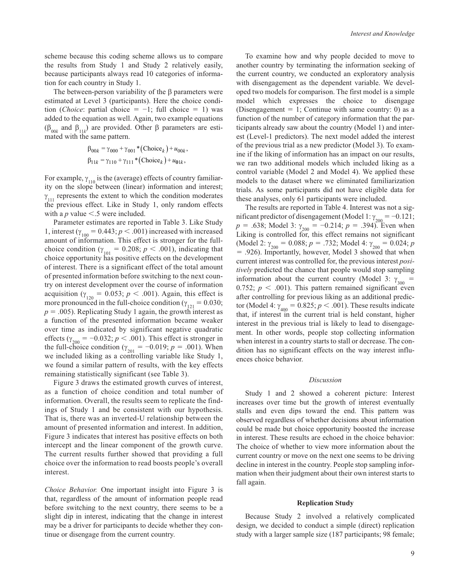scheme because this coding scheme allows us to compare the results from Study 1 and Study 2 relatively easily, because participants always read 10 categories of information for each country in Study 1.

The between-person variability of the β parameters were estimated at Level 3 (participants). Here the choice condition (*Choice*: partial choice =  $-1$ ; full choice = 1) was added to the equation as well. Again, two example equations (β<sub>00*k*</sub> and β<sub>11*k*</sub>) are provided. Other β parameters are estimated with the same pattern.

$$
\beta_{00k} = \gamma_{000} + \gamma_{001} * (Choice_k) + u_{00k},
$$
  
\n
$$
\beta_{11k} = \gamma_{110} + \gamma_{111} * (Choice_k) + u_{01k},
$$

For example,  $\gamma_{110}$  is the (average) effects of country familiarity on the slope between (linear) information and interest;  $\gamma_{111}$  represents the extent to which the condition moderates the previous effect. Like in Study 1, only random effects with a  $p$  value  $\leq$ .5 were included.

Parameter estimates are reported in Table 3. Like Study 1, interest ( $\gamma_{100} = 0.443$ ;  $p < .001$ ) increased with increased amount of information. This effect is stronger for the fullchoice condition ( $\gamma_{101} = 0.208$ ;  $p < .001$ ), indicating that choice opportunity has positive effects on the development of interest. There is a significant effect of the total amount of presented information before switching to the next country on interest development over the course of information acquisition ( $\gamma_{120} = 0.053$ ;  $p < .001$ ). Again, this effect is more pronounced in the full-choice condition ( $\gamma_{121} = 0.030$ ;  $p = .005$ ). Replicating Study 1 again, the growth interest as a function of the presented information became weaker over time as indicated by significant negative quadratic effects ( $\gamma_{200} = -0.032$ ;  $p < .001$ ). This effect is stronger in the full-choice condition ( $\gamma_{201} = -0.019$ ;  $p = .001$ ). When we included liking as a controlling variable like Study 1, we found a similar pattern of results, with the key effects remaining statistically significant (see Table 3).

Figure 3 draws the estimated growth curves of interest, as a function of choice condition and total number of information. Overall, the results seem to replicate the findings of Study 1 and be consistent with our hypothesis. That is, there was an inverted-U relationship between the amount of presented information and interest. In addition, Figure 3 indicates that interest has positive effects on both intercept and the linear component of the growth curve. The current results further showed that providing a full choice over the information to read boosts people's overall interest.

*Choice Behavior.* One important insight into Figure 3 is that, regardless of the amount of information people read before switching to the next country, there seems to be a slight dip in interest, indicating that the change in interest may be a driver for participants to decide whether they continue or disengage from the current country.

To examine how and why people decided to move to another country by terminating the information seeking of the current country, we conducted an exploratory analysis with disengagement as the dependent variable. We developed two models for comparison. The first model is a simple model which expresses the choice to disengage (Disengagement  $= 1$ ; Continue with same country: 0) as a function of the number of category information that the participants already saw about the country (Model 1) and interest (Level-1 predictors). The next model added the interest of the previous trial as a new predictor (Model 3). To examine if the liking of information has an impact on our results, we ran two additional models which included liking as a control variable (Model 2 and Model 4). We applied these models to the dataset where we eliminated familiarization trials. As some participants did not have eligible data for these analyses, only 61 participants were included.

The results are reported in Table 4. Interest was not a sigmificant predictor of disengagement (Model 1:  $\gamma_{200} = -0.121$ ;  $p = .638$ ; Model 3:  $\gamma_{200} = -0.214$ ;  $p = .394$ ). Even when Liking is controlled for, this effect remains not significant (Model 2:  $\gamma_{200} = 0.088$ ;  $p = .732$ ; Model 4:  $\gamma_{200} = 0.024$ ; *p* = .926). Importantly, however, Model 3 showed that when current interest was controlled for, the previous interest *positively* predicted the chance that people would stop sampling information about the current country (Model 3:  $\gamma_{300}$  = 0.752;  $p < .001$ ). This pattern remained significant even after controlling for previous liking as an additional predictor (Model 4:  $\gamma_{400} = 0.825$ ;  $p < .001$ ). These results indicate that, if interest in the current trial is held constant, higher interest in the previous trial is likely to lead to disengagement. In other words, people stop collecting information when interest in a country starts to stall or decrease. The condition has no significant effects on the way interest influences choice behavior.

#### *Discussion*

Study 1 and 2 showed a coherent picture: Interest increases over time but the growth of interest eventually stalls and even dips toward the end. This pattern was observed regardless of whether decisions about information could be made but choice opportunity boosted the increase in interest. These results are echoed in the choice behavior: The choice of whether to view more information about the current country or move on the next one seems to be driving decline in interest in the country. People stop sampling information when their judgment about their own interest starts to fall again.

#### **Replication Study**

Because Study 2 involved a relatively complicated design, we decided to conduct a simple (direct) replication study with a larger sample size (187 participants; 98 female;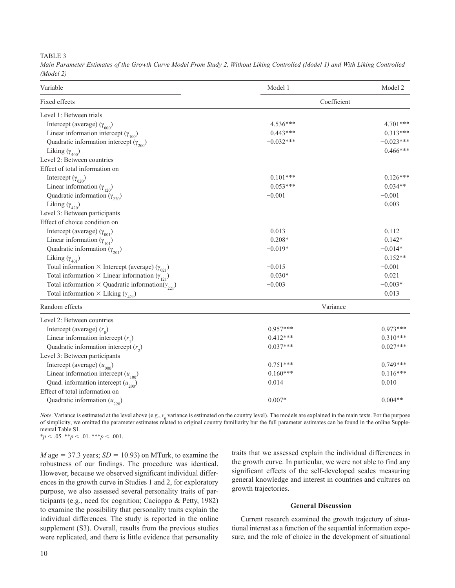TABLE 3

*Main Parameter Estimates of the Growth Curve Model From Study 2, Without Liking Controlled (Model 1) and With Liking Controlled (Model 2)*

| Variable                                                           | Model 1     | Model 2     |
|--------------------------------------------------------------------|-------------|-------------|
| Fixed effects                                                      | Coefficient |             |
| Level 1: Between trials                                            |             |             |
| Intercept (average) $(\gamma_{000})$                               | $4.536***$  | 4.701***    |
| Linear information intercept ( $\gamma_{100}$ )                    | $0.443***$  | $0.313***$  |
| Quadratic information intercept $(\gamma_{200})$                   | $-0.032***$ | $-0.023***$ |
| Liking $(\gamma_{_{400}})$                                         |             | $0.466***$  |
| Level 2: Between countries                                         |             |             |
| Effect of total information on                                     |             |             |
| Intercept $(\gamma_{020})$                                         | $0.101***$  | $0.126***$  |
| Linear information $(\gamma_{120})$                                | $0.053***$  | $0.034**$   |
| Quadratic information $(\gamma_{220})$                             | $-0.001$    | $-0.001$    |
| Liking $(\gamma_{420})$                                            |             | $-0.003$    |
| Level 3: Between participants                                      |             |             |
| Effect of choice condition on                                      |             |             |
| Intercept (average) $(\gamma_{001})$                               | 0.013       | 0.112       |
| Linear information $(\gamma_{101})$                                | $0.208*$    | $0.142*$    |
| Quadratic information $(\gamma_{201})$                             | $-0.019*$   | $-0.014*$   |
| Liking $(\gamma_{401})$                                            |             | $0.152**$   |
| Total information $\times$ Intercept (average) ( $\gamma_{021}$ )  | $-0.015$    | $-0.001$    |
| Total information $\times$ Linear information $(\gamma_{121})$     | $0.030*$    | 0.021       |
| Total information $\times$ Quadratic information( $\gamma_{221}$ ) | $-0.003$    | $-0.003*$   |
| Total information $\times$ Liking ( $\gamma_{_{421}}$ )            |             | 0.013       |
| Random effects                                                     | Variance    |             |
| Level 2: Between countries                                         |             |             |
| Intercept (average) $(r_0)$                                        | $0.957***$  | $0.973***$  |
| Linear information intercept $(r_1)$                               | $0.412***$  | $0.310***$  |
| Quadratic information intercept $(r_2)$                            | $0.037***$  | $0.027***$  |
| Level 3: Between participants                                      |             |             |
| Intercept (average) $(u_{000})$                                    | $0.751***$  | $0.749***$  |
| Linear information intercept $(u_{100})$                           | $0.160***$  | $0.116***$  |
| Quad. information intercept $(u_{200})$                            | 0.014       | 0.010       |
| Effect of total information on                                     |             |             |
| Quadratic information $(u_{220})$                                  | $0.007*$    | $0.004**$   |

*Note*. Variance is estimated at the level above (e.g., *r*<sub>c</sub> variance is estimated on the country level). The models are explained in the main texts. For the purpose of simplicity, we omitted the parameter estimates related to original country familiarity but the full parameter estimates can be found in the online Supple-<br>of simplicity, we omitted the parameter estimates related to ori mental Table S1.  $*_{p}$  < .05.  $*_{p}$  < .01.  $*_{p}$  < .001.

 $M$  age = 37.3 years;  $SD = 10.93$ ) on MTurk, to examine the robustness of our findings. The procedure was identical. However, because we observed significant individual differences in the growth curve in Studies 1 and 2, for exploratory purpose, we also assessed several personality traits of participants (e.g., need for cognition; Cacioppo & Petty, 1982) to examine the possibility that personality traits explain the individual differences. The study is reported in the online supplement (S3). Overall, results from the previous studies were replicated, and there is little evidence that personality

traits that we assessed explain the individual differences in the growth curve. In particular, we were not able to find any significant effects of the self-developed scales measuring general knowledge and interest in countries and cultures on growth trajectories.

#### **General Discussion**

Current research examined the growth trajectory of situational interest as a function of the sequential information exposure, and the role of choice in the development of situational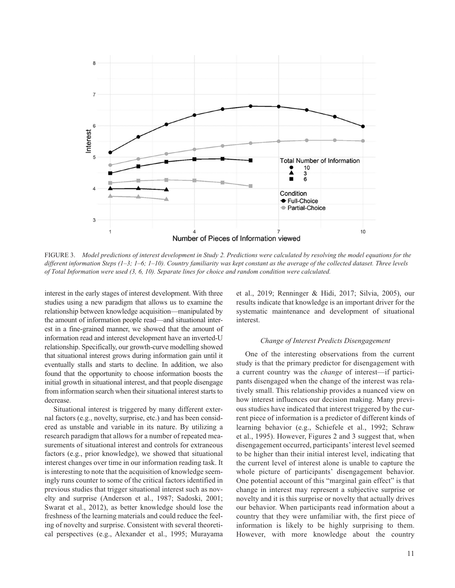

FIGURE 3. Model predictions of interest development in Study 2. Predictions were calculated by resolving the model equations for the *different information Steps (1–3; 1–6; 1–10). Country familiarity was kept constant as the average of the collected dataset. Three levels of Total Information were used (3, 6, 10). Separate lines for choice and random condition were calculated.*

interest in the early stages of interest development. With three studies using a new paradigm that allows us to examine the relationship between knowledge acquisition—manipulated by the amount of information people read—and situational interest in a fine-grained manner, we showed that the amount of information read and interest development have an inverted-U relationship. Specifically, our growth-curve modelling showed that situational interest grows during information gain until it eventually stalls and starts to decline. In addition, we also found that the opportunity to choose information boosts the initial growth in situational interest, and that people disengage from information search when their situational interest starts to decrease.

Situational interest is triggered by many different external factors (e.g., novelty, surprise, etc.) and has been considered as unstable and variable in its nature. By utilizing a research paradigm that allows for a number of repeated measurements of situational interest and controls for extraneous factors (e.g., prior knowledge), we showed that situational interest changes over time in our information reading task. It is interesting to note that the acquisition of knowledge seemingly runs counter to some of the critical factors identified in previous studies that trigger situational interest such as novelty and surprise (Anderson et al., 1987; Sadoski, 2001; Swarat et al., 2012), as better knowledge should lose the freshness of the learning materials and could reduce the feeling of novelty and surprise. Consistent with several theoretical perspectives (e.g., Alexander et al., 1995; Murayama

et al., 2019; Renninger & Hidi, 2017; Silvia, 2005), our results indicate that knowledge is an important driver for the systematic maintenance and development of situational interest.

#### *Change of Interest Predicts Disengagement*

One of the interesting observations from the current study is that the primary predictor for disengagement with a current country was the *change* of interest—if participants disengaged when the change of the interest was relatively small. This relationship provides a nuanced view on how interest influences our decision making. Many previous studies have indicated that interest triggered by the current piece of information is a predictor of different kinds of learning behavior (e.g., Schiefele et al., 1992; Schraw et al., 1995). However, Figures 2 and 3 suggest that, when disengagement occurred, participants' interest level seemed to be higher than their initial interest level, indicating that the current level of interest alone is unable to capture the whole picture of participants' disengagement behavior. One potential account of this "marginal gain effect" is that change in interest may represent a subjective surprise or novelty and it is this surprise or novelty that actually drives our behavior. When participants read information about a country that they were unfamiliar with, the first piece of information is likely to be highly surprising to them. However, with more knowledge about the country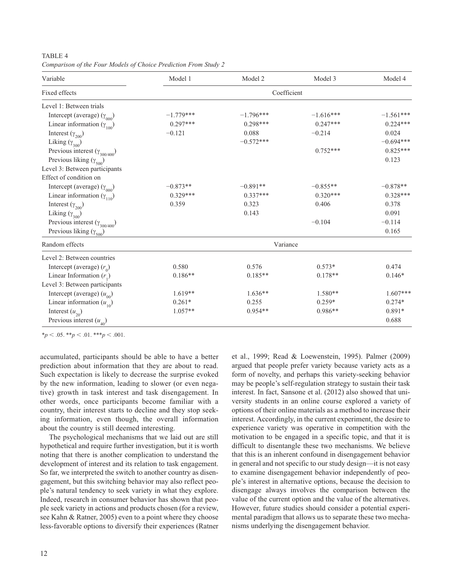| Variable                                 | Model 1     | Model 2     | Model 3     | Model 4     |  |
|------------------------------------------|-------------|-------------|-------------|-------------|--|
| Fixed effects                            | Coefficient |             |             |             |  |
| Level 1: Between trials                  |             |             |             |             |  |
| Intercept (average) $(\gamma_{000})$     | $-1.779***$ | $-1.796***$ | $-1.616***$ | $-1.561***$ |  |
| Linear information $(\gamma_{100})$      | $0.297***$  | $0.298***$  | $0.247***$  | $0.224***$  |  |
| Interest $(\gamma_{200})$                | $-0.121$    | 0.088       | $-0.214$    | 0.024       |  |
| Liking $(\gamma_{_{{\rm 300}}})$         |             | $-0.572***$ |             | $-0.694***$ |  |
| Previous interest ( $\gamma_{300/400}$ ) |             |             | $0.752***$  | $0.825***$  |  |
| Previous liking $(\gamma_{500})$         |             |             |             | 0.123       |  |
| Level 3: Between participants            |             |             |             |             |  |
| Effect of condition on                   |             |             |             |             |  |
| Intercept (average) $(\gamma_{000})$     | $-0.873**$  | $-0.891**$  | $-0.855**$  | $-0.878**$  |  |
| Linear information $(\gamma_{110})$      | $0.329***$  | $0.337***$  | $0.320***$  | $0.328***$  |  |
| Interest $(\gamma_{200})$                | 0.359       | 0.323       | 0.406       | 0.378       |  |
| Liking $(\gamma_{300})$                  |             | 0.143       |             | 0.091       |  |
| Previous interest $(\gamma_{300/400})$   |             |             | $-0.104$    | $-0.114$    |  |
| Previous liking $(\gamma_{500})$         |             |             |             | 0.165       |  |
| Random effects                           | Variance    |             |             |             |  |
| Level 2: Between countries               |             |             |             |             |  |
| Intercept (average) $(r_0)$              | 0.580       | 0.576       | $0.573*$    | 0.474       |  |
| Linear Information $(r_1)$               | $0.186**$   | $0.185**$   | $0.178**$   | $0.146*$    |  |
| Level 3: Between participants            |             |             |             |             |  |
| Intercept (average) $(u_{00})$           | $1.619**$   | $1.636**$   | $1.580**$   | $1.607***$  |  |
| Linear information $(u_{10})$            | $0.261*$    | 0.255       | $0.259*$    | $0.274*$    |  |
| Interest $(u_{20})$                      | $1.057**$   | $0.954**$   | $0.986**$   | $0.891*$    |  |
| Previous interest $(u_{40})$             |             |             |             | 0.688       |  |

*Comparison of the Four Models of Choice Prediction From Study 2*

TABLE 4

 $*_{p}$  < .05.  $*_{p}$  < .01.  $*_{p}$  < .001.

accumulated, participants should be able to have a better prediction about information that they are about to read. Such expectation is likely to decrease the surprise evoked by the new information, leading to slower (or even negative) growth in task interest and task disengagement. In other words, once participants become familiar with a country, their interest starts to decline and they stop seeking information, even though, the overall information about the country is still deemed interesting.

The psychological mechanisms that we laid out are still hypothetical and require further investigation, but it is worth noting that there is another complication to understand the development of interest and its relation to task engagement. So far, we interpreted the switch to another country as disengagement, but this switching behavior may also reflect people's natural tendency to seek variety in what they explore. Indeed, research in consumer behavior has shown that people seek variety in actions and products chosen (for a review, see Kahn & Ratner, 2005) even to a point where they choose less-favorable options to diversify their experiences (Ratner et al., 1999; Read & Loewenstein, 1995). Palmer (2009) argued that people prefer variety because variety acts as a form of novelty, and perhaps this variety-seeking behavior may be people's self-regulation strategy to sustain their task interest. In fact, Sansone et al. (2012) also showed that university students in an online course explored a variety of options of their online materials as a method to increase their interest. Accordingly, in the current experiment, the desire to experience variety was operative in competition with the motivation to be engaged in a specific topic, and that it is difficult to disentangle these two mechanisms. We believe that this is an inherent confound in disengagement behavior in general and not specific to our study design—it is not easy to examine disengagement behavior independently of people's interest in alternative options, because the decision to disengage always involves the comparison between the value of the current option and the value of the alternatives. However, future studies should consider a potential experimental paradigm that allows us to separate these two mechanisms underlying the disengagement behavior.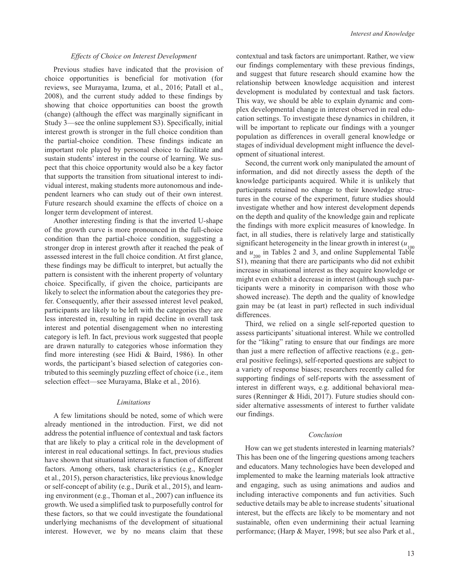#### *Effects of Choice on Interest Development*

Previous studies have indicated that the provision of choice opportunities is beneficial for motivation (for reviews, see Murayama, Izuma, et al., 2016; Patall et al., 2008), and the current study added to these findings by showing that choice opportunities can boost the growth (change) (although the effect was marginally significant in Study 3—see the online supplement S3). Specifically, initial interest growth is stronger in the full choice condition than the partial-choice condition. These findings indicate an important role played by personal choice to facilitate and sustain students' interest in the course of learning. We suspect that this choice opportunity would also be a key factor that supports the transition from situational interest to individual interest, making students more autonomous and independent learners who can study out of their own interest. Future research should examine the effects of choice on a longer term development of interest.

Another interesting finding is that the inverted U-shape of the growth curve is more pronounced in the full-choice condition than the partial-choice condition, suggesting a stronger drop in interest growth after it reached the peak of assessed interest in the full choice condition. At first glance, these findings may be difficult to interpret, but actually the pattern is consistent with the inherent property of voluntary choice. Specifically, if given the choice, participants are likely to select the information about the categories they prefer. Consequently, after their assessed interest level peaked, participants are likely to be left with the categories they are less interested in, resulting in rapid decline in overall task interest and potential disengagement when no interesting category is left. In fact, previous work suggested that people are drawn naturally to categories whose information they find more interesting (see Hidi & Baird, 1986). In other words, the participant's biased selection of categories contributed to this seemingly puzzling effect of choice (i.e., item selection effect—see Murayama, Blake et al., 2016).

#### *Limitations*

A few limitations should be noted, some of which were already mentioned in the introduction. First, we did not address the potential influence of contextual and task factors that are likely to play a critical role in the development of interest in real educational settings. In fact, previous studies have shown that situational interest is a function of different factors. Among others, task characteristics (e.g., Knogler et al., 2015), person characteristics, like previous knowledge or self-concept of ability (e.g., Durik et al., 2015), and learning environment (e.g., Thoman et al., 2007) can influence its growth. We used a simplified task to purposefully control for these factors, so that we could investigate the foundational underlying mechanisms of the development of situational interest. However, we by no means claim that these

contextual and task factors are unimportant. Rather, we view our findings complementary with these previous findings, and suggest that future research should examine how the relationship between knowledge acquisition and interest development is modulated by contextual and task factors. This way, we should be able to explain dynamic and complex developmental change in interest observed in real education settings. To investigate these dynamics in children, it will be important to replicate our findings with a younger population as differences in overall general knowledge or stages of individual development might influence the development of situational interest.

Second, the current work only manipulated the amount of information, and did not directly assess the depth of the knowledge participants acquired. While it is unlikely that participants retained no change to their knowledge structures in the course of the experiment, future studies should investigate whether and how interest development depends on the depth and quality of the knowledge gain and replicate the findings with more explicit measures of knowledge. In fact, in all studies, there is relatively large and statistically significant heterogeneity in the linear growth in interest  $(u_{100})$ and  $u_{200}$  in Tables 2 and 3, and online Supplemental Table S1), meaning that there are participants who did not exhibit increase in situational interest as they acquire knowledge or might even exhibit a decrease in interest (although such participants were a minority in comparison with those who showed increase). The depth and the quality of knowledge gain may be (at least in part) reflected in such individual differences.

Third, we relied on a single self-reported question to assess participants' situational interest. While we controlled for the "liking" rating to ensure that our findings are more than just a mere reflection of affective reactions (e.g., general positive feelings), self-reported questions are subject to a variety of response biases; researchers recently called for supporting findings of self-reports with the assessment of interest in different ways, e.g. additional behavioral measures (Renninger & Hidi, 2017). Future studies should consider alternative assessments of interest to further validate our findings.

#### *Conclusion*

How can we get students interested in learning materials? This has been one of the lingering questions among teachers and educators. Many technologies have been developed and implemented to make the learning materials look attractive and engaging, such as using animations and audios and including interactive components and fun activities. Such seductive details may be able to increase students' situational interest, but the effects are likely to be momentary and not sustainable, often even undermining their actual learning performance; (Harp & Mayer, 1998; but see also Park et al.,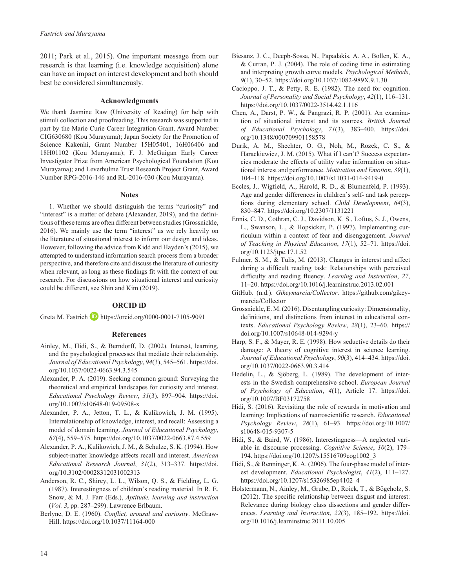2011; Park et al., 2015). One important message from our research is that learning (i.e. knowledge acquisition) alone can have an impact on interest development and both should best be considered simultaneously.

#### **Acknowledgments**

We thank Jasmine Raw (University of Reading) for help with stimuli collection and proofreading. This research was supported in part by the Marie Curie Career Integration Grant, Award Number CIG630680 (Kou Murayama); Japan Society for the Promotion of Science Kakenhi, Grant Number 15H05401, 16H06406 and 18H01102 (Kou Murayama); F. J. McGuigan Early Career Investigator Prize from American Psychological Foundation (Kou Murayama); and Leverhulme Trust Research Project Grant, Award Number RPG-2016-146 and RL-2016-030 (Kou Murayama).

#### **Notes**

1. Whether we should distinguish the terms "curiosity" and "interest" is a matter of debate (Alexander, 2019), and the definitions of these terms are often different between studies (Grossnickle, 2016). We mainly use the term "interest" as we rely heavily on the literature of situational interest to inform our design and ideas. However, following the advice from Kidd and Hayden's (2015), we attempted to understand information search process from a broader perspective, and therefore cite and discuss the literature of curiosity when relevant, as long as these findings fit with the context of our research. For discussions on how situational interest and curiosity could be different, see Shin and Kim (2019).

#### **ORCID iD**

Greta M. Fastrich **b** <https://orcid.org/0000-0001-7105-9091>

#### **References**

- Ainley, M., Hidi, S., & Berndorff, D. (2002). Interest, learning, and the psychological processes that mediate their relationship. *Journal of Educational Psychology*, *94*(3), 545–561. [https://doi.](https://doi.org/10.1037/0022-0663.94.3.545) [org/10.1037/0022-0663.94.3.545](https://doi.org/10.1037/0022-0663.94.3.545)
- Alexander, P. A. (2019). Seeking common ground: Surveying the theoretical and empirical landscapes for curiosity and interest. *Educational Psychology Review*, *31*(3), 897–904. [https://doi.](https://doi.org/10.1007/s10648-019-09508-x) [org/10.1007/s10648-019-09508-x](https://doi.org/10.1007/s10648-019-09508-x)
- Alexander, P. A., Jetton, T. L., & Kulikowich, J. M. (1995). Interrelationship of knowledge, interest, and recall: Assessing a model of domain learning. *Journal of Educational Psychology*, *87*(4), 559–575. <https://doi.org/10.1037/0022-0663.87.4.559>
- Alexander, P. A., Kulikowich, J. M., & Schulze, S. K. (1994). How subject-matter knowledge affects recall and interest. *American Educational Research Journal*, *31*(2), 313–337. [https://doi.](https://doi.org/10.3102/00028312031002313) [org/10.3102/00028312031002313](https://doi.org/10.3102/00028312031002313)
- Anderson, R. C., Shirey, L. L., Wilson, Q. S., & Fielding, L. G. (1987). Interestingness of children's reading material. In R. E. Snow, & M. J. Farr (Eds.), *Aptitude, learning and instruction* (*Vol. 3*, pp. 287–299). Lawrence Erlbaum.
- Berlyne, D. E. (1960). *Conflict, arousal and curiosity*. McGraw-Hill. <https://doi.org/10.1037/11164-000>
- Biesanz, J. C., Deepb-Sossa, N., Papadakis, A. A., Bollen, K. A., & Curran, P. J. (2004). The role of coding time in estimating and interpreting growth curve models. *Psychological Methods*, *9*(1), 30–52.<https://doi.org/10.1037/1082-989X.9.1.30>
- Cacioppo, J. T., & Petty, R. E. (1982). The need for cognition. *Journal of Personality and Social Psychology*, *42*(1), 116–131. <https://doi.org/10.1037/0022-3514.42.1.116>
- Chen, A., Darst, P. W., & Pangrazi, R. P. (2001). An examination of situational interest and its sources. *British Journal of Educational Psychology*, *71*(3), 383–400. [https://doi.](https://doi.org/10.1348/000709901158578) [org/10.1348/000709901158578](https://doi.org/10.1348/000709901158578)
- Durik, A. M., Shechter, O. G., Noh, M., Rozek, C. S., & Harackiewicz, J. M. (2015). What if I can't? Success expectancies moderate the effects of utility value information on situational interest and performance. *Motivation and Emotion*, *39*(1), 104–118. <https://doi.org/10.1007/s11031-014-9419-0>
- Eccles, J., Wigfield, A., Harold, R. D., & Blumenfeld, P. (1993). Age and gender differences in children's self- and task perceptions during elementary school. *Child Development*, *64*(3), 830–847. <https://doi.org/10.2307/1131221>
- Ennis, C. D., Cothran, C. J., Davidson, K. S., Loftus, S. J., Owens, L., Swanson, L., & Hopsicker, P. (1997). Implementing curriculum within a context of fear and disengagement. *Journal of Teaching in Physical Education*, *17*(1), 52–71. [https://doi.](https://doi.org/10.1123/jtpe.17.1.52) [org/10.1123/jtpe.17.1.52](https://doi.org/10.1123/jtpe.17.1.52)
- Fulmer, S. M., & Tulis, M. (2013). Changes in interest and affect during a difficult reading task: Relationships with perceived difficulty and reading fluency. *Learning and Instruction*, *27*, 11–20. <https://doi.org/10.1016/j.learninstruc.2013.02.001>
- GitHub. (n.d.). *Gikeymarcia/Collector*. [https://github.com/gikey](https://github.com/gikeymarcia/Collector)[marcia/Collector](https://github.com/gikeymarcia/Collector)
- Grossnickle, E. M. (2016). Disentangling curiosity: Dimensionality, definitions, and distinctions from interest in educational contexts. *Educational Psychology Review*, *28*(1), 23–60. [https://](https://doi.org/10.1007/s10648-014-9294-y) [doi.org/10.1007/s10648-014-9294-y](https://doi.org/10.1007/s10648-014-9294-y)
- Harp, S. F., & Mayer, R. E. (1998). How seductive details do their damage: A theory of cognitive interest in science learning. *Journal of Educational Psychology*, *90*(3), 414–434. [https://doi.](https://doi.org/10.1037/0022-0663.90.3.414) [org/10.1037/0022-0663.90.3.414](https://doi.org/10.1037/0022-0663.90.3.414)
- Hedelin, L., & Sjöberg, L. (1989). The development of interests in the Swedish comprehensive school. *European Journal of Psychology of Education*, *4*(1), Article 17. [https://doi.](https://doi.org/10.1007/BF03172758) [org/10.1007/BF03172758](https://doi.org/10.1007/BF03172758)
- Hidi, S. (2016). Revisiting the role of rewards in motivation and learning: Implications of neuroscientific research. *Educational Psychology Review*, *28*(1), 61–93. [https://doi.org/10.1007/](https://doi.org/10.1007/s10648-015-9307-5) [s10648-015-9307-5](https://doi.org/10.1007/s10648-015-9307-5)
- Hidi, S., & Baird, W. (1986). Interestingness—A neglected variable in discourse processing. *Cognitive Science*, *10*(2), 179– 194. [https://doi.org/10.1207/s15516709cog1002\\_3](https://doi.org/10.1207/s15516709cog1002_3)
- Hidi, S., & Renninger, K. A. (2006). The four-phase model of interest development. *Educational Psychologist*, *41*(2), 111–127. [https://doi.org/10.1207/s15326985ep4102\\_4](https://doi.org/10.1207/s15326985ep4102_4)
- Holstermann, N., Ainley, M., Grube, D., Roick, T., & Bögeholz, S. (2012). The specific relationship between disgust and interest: Relevance during biology class dissections and gender differences. *Learning and Instruction*, *22*(3), 185–192. [https://doi.](https://doi.org/10.1016/j.learninstruc.2011.10.005) [org/10.1016/j.learninstruc.2011.10.005](https://doi.org/10.1016/j.learninstruc.2011.10.005)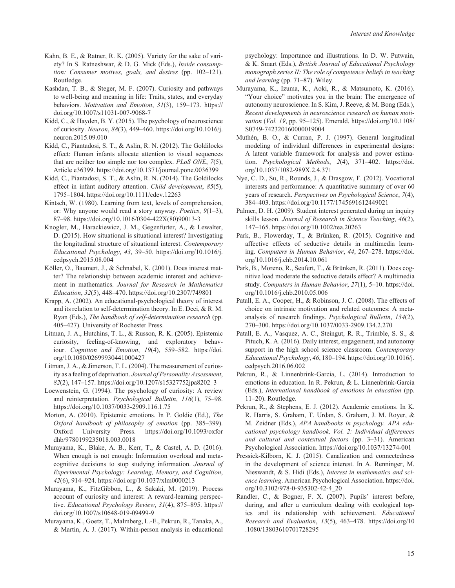- Kahn, B. E., & Ratner, R. K. (2005). Variety for the sake of variety? In S. Ratneshwar, & D. G. Mick (Eds.), *Inside consumption: Consumer motives, goals, and desires* (pp. 102–121). Routledge.
- Kashdan, T. B., & Steger, M. F. (2007). Curiosity and pathways to well-being and meaning in life: Traits, states, and everyday behaviors. *Motivation and Emotion*, *31*(3), 159–173. [https://](https://doi.org/10.1007/s11031-007-9068-7) [doi.org/10.1007/s11031-007-9068-7](https://doi.org/10.1007/s11031-007-9068-7)
- Kidd, C., & Hayden, B. Y. (2015). The psychology of neuroscience of curiosity. *Neuron*, *88*(3), 449–460. [https://doi.org/10.1016/j.](https://doi.org/10.1016/j.neuron.2015.09.010) [neuron.2015.09.010](https://doi.org/10.1016/j.neuron.2015.09.010)
- Kidd, C., Piantadosi, S. T., & Aslin, R. N. (2012). The Goldilocks effect: Human infants allocate attention to visual sequences that are neither too simple nor too complex. *PLoS ONE*, *7*(5), Article e36399.<https://doi.org/10.1371/journal.pone.0036399>
- Kidd, C., Piantadosi, S. T., & Aslin, R. N. (2014). The Goldilocks effect in infant auditory attention. *Child development*, *85*(5), 1795–1804. <https://doi.org/10.1111/cdev.12263>
- Kintsch, W. (1980). Learning from text, levels of comprehension, or: Why anyone would read a story anyway. *Poetics*, *9*(1–3), 87–98. [https://doi.org/10.1016/0304-422X\(80\)90013-3](https://doi.org/10.1016/0304-422X(80)90013-3)
- Knogler, M., Harackiewicz, J. M., Gegenfurter, A., & Lewalter, D. (2015). How situational is situational interest? Investigating the longitudinal structure of situational interest. *Contemporary Educational Psychology*, *43*, 39–50. [https://doi.org/10.1016/j.](https://doi.org/10.1016/j.cedpsych.2015.08.004) [cedpsych.2015.08.004](https://doi.org/10.1016/j.cedpsych.2015.08.004)
- Köller, O., Baumert, J., & Schnabel, K. (2001). Does interest matter? The relationship between academic interest and achievement in mathematics. *Journal for Research in Mathematics Education*, *32*(5), 448–470.<https://doi.org/10.2307/749801>
- Krapp, A. (2002). An educational-psychological theory of interest and its relation to self-determination theory. In E. Deci, & R. M. Ryan (Eds.), *The handbook of self-determination research* (pp. 405–427). University of Rochester Press.
- Litman, J. A., Hutchins, T. L., & Russon, R. K. (2005). Epistemic curiosity, feeling-of-knowing, and exploratory behaviour. *Cognition and Emotion*, *19*(4), 559–582. [https://doi.](https://doi.org/10.1080/02699930441000427) [org/10.1080/02699930441000427](https://doi.org/10.1080/02699930441000427)
- Litman, J. A., & Jimerson, T. L. (2004). The measurement of curiosity as a feeling of deprivation. *Journal of Personality Assessment*, *82*(2), 147–157. [https://doi.org/10.1207/s15327752jpa8202\\_3](https://doi.org/10.1207/s15327752jpa8202_3)
- Loewenstein, G. (1994). The psychology of curiosity: A review and reinterpretation. *Psychological Bulletin*, *116*(1), 75–98. <https://doi.org/10.1037/0033-2909.116.1.75>
- Morton, A. (2010). Epistemic emotions. In P. Goldie (Ed.), *The Oxford handbook of philosophy of emotion* (pp. 385–399). Oxford University Press. [https://doi.org/10.1093/oxfor](https://doi.org/10.1093/oxfordhb/9780199235018.003.0018) [dhb/9780199235018.003.0018](https://doi.org/10.1093/oxfordhb/9780199235018.003.0018)
- Murayama, K., Blake, A. B., Kerr, T., & Castel, A. D. (2016). When enough is not enough: Information overload and metacognitive decisions to stop studying information. *Journal of Experimental Psychology: Learning, Memory, and Cognition*, *42*(6), 914–924. <https://doi.org/10.1037/xlm0000213>
- Murayama, K., FitzGibbon, L., & Sakaki, M. (2019). Process account of curiosity and interest: A reward-learning perspective. *Educational Psychology Review*, *31*(4), 875–895. [https://](https://doi.org/10.1007/s10648-019-09499-9) [doi.org/10.1007/s10648-019-09499-9](https://doi.org/10.1007/s10648-019-09499-9)
- Murayama, K., Goetz, T., Malmberg, L.-E., Pekrun, R., Tanaka, A., & Martin, A. J. (2017). Within-person analysis in educational

psychology: Importance and illustrations. In D. W. Putwain, & K. Smart (Eds.), *British Journal of Educational Psychology monograph series II: The role of competence beliefs in teaching and learning* (pp. 71–87). Wiley.

- Murayama, K., Izuma, K., Aoki, R., & Matsumoto, K. (2016). "Your choice" motivates you in the brain: The emergence of autonomy neuroscience. In S. Kim, J. Reeve, & M. Bong (Eds.), *Recent developments in neuroscience research on human motivation* (*Vol. 19*, pp. 95–125). Emerald. [https://doi.org/10.1108/](https://doi.org/10.1108/S0749-742320160000019004) [S0749-742320160000019004](https://doi.org/10.1108/S0749-742320160000019004)
- Muthén, B. O., & Curran, P. J. (1997). General longitudinal modeling of individual differences in experimental designs: A latent variable framework for analysis and power estimation. *Psychological Methods*, *2*(4), 371–402. [https://doi.](https://doi.org/10.1037/1082-989X.2.4.371) [org/10.1037/1082-989X.2.4.371](https://doi.org/10.1037/1082-989X.2.4.371)
- Nye, C. D., Su, R., Rounds, J., & Drasgow, F. (2012). Vocational interests and performance: A quantitative summary of over 60 years of research. *Perspectives on Psychological Science*, *7*(4), 384–403.<https://doi.org/10.1177/1745691612449021>
- Palmer, D. H. (2009). Student interest generated during an inquiry skills lesson. *Journal of Research in Science Teaching*, *46*(2), 147–165.<https://doi.org/10.1002/tea.20263>
- Park, B., Flowerday, T., & Brünken, R. (2015). Cognitive and affective effects of seductive details in multimedia learning. *Computers in Human Behavior*, *44*, 267–278. [https://doi.](https://doi.org/10.1016/j.chb.2014.10.061) [org/10.1016/j.chb.2014.10.061](https://doi.org/10.1016/j.chb.2014.10.061)
- Park, B., Moreno, R., Seufert, T., & Brünken, R. (2011). Does cognitive load moderate the seductive details effect? A multimedia study. *Computers in Human Behavior*, *27*(1), 5–10. [https://doi.](https://doi.org/10.1016/j.chb.2010.05.006) [org/10.1016/j.chb.2010.05.006](https://doi.org/10.1016/j.chb.2010.05.006)
- Patall, E. A., Cooper, H., & Robinson, J. C. (2008). The effects of choice on intrinsic motivation and related outcomes: A metaanalysis of research findings. *Psychological Bulletin*, *134*(2), 270–300.<https://doi.org/10.1037/0033-2909.134.2.270>
- Patall, E. A., Vasquez, A. C., Steingut, R. R., Trimble, S. S., & Pituch, K. A. (2016). Daily interest, engagement, and autonomy support in the high school science classroom. *Contemporary Educational Psychology*, *46*, 180–194. [https://doi.org/10.1016/j.](https://doi.org/10.1016/j.cedpsych.2016.06.002) [cedpsych.2016.06.002](https://doi.org/10.1016/j.cedpsych.2016.06.002)
- Pekrun, R., & Linnenbrink-Garcia, L. (2014). Introduction to emotions in education. In R. Pekrun, & L. Linnenbrink-Garcia (Eds.), *International handbook of emotions in education* (pp. 11–20). Routledge.
- Pekrun, R., & Stephens, E. J. (2012). Academic emotions. In K. R. Harris, S. Graham, T. Urdan, S. Graham, J. M. Royer, & M. Zeidner (Eds.), *APA handbooks in psychology. APA educational psychology handbook, Vol. 2: Individual differences and cultural and contextual factors* (pp. 3–31). American Psychological Association. <https://doi.org/10.1037/13274-001>
- Pressick-Kilborn, K. J. (2015). Canalization and connectedness in the development of science interest. In A. Renninger, M. Nieswandt, & S. Hidi (Eds.), *Interest in mathematics and science learning*. American Psychological Association. [https://doi.](https://doi.org/10.3102/978-0-935302-42-4_20) [org/10.3102/978-0-935302-42-4\\_20](https://doi.org/10.3102/978-0-935302-42-4_20)
- Randler, C., & Bogner, F. X. (2007). Pupils' interest before, during, and after a curriculum dealing with ecological topics and its relationship with achievement. *Educational Research and Evaluation*, *13*(5), 463–478. <https://doi.org/10> .1080/13803610701728295